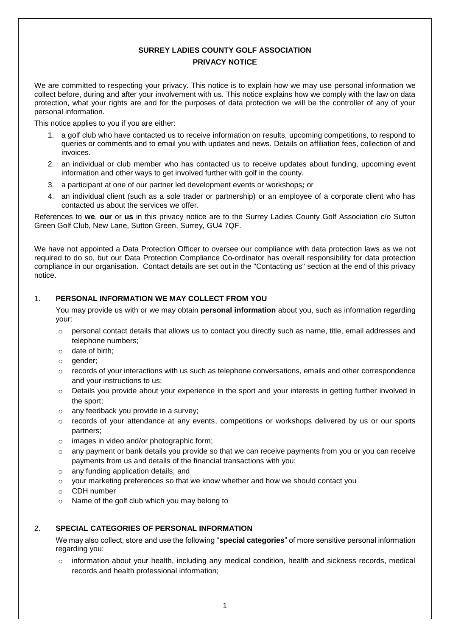# **SURREY LADIES COUNTY GOLF ASSOCIATION PRIVACY NOTICE**

We are committed to respecting your privacy. This notice is to explain how we may use personal information we collect before, during and after your involvement with us. This notice explains how we comply with the law on data protection, what your rights are and for the purposes of data protection we will be the controller of any of your personal information.

This notice applies to you if you are either:

- 1. a golf club who have contacted us to receive information on results, upcoming competitions, to respond to queries or comments and to email you with updates and news. Details on affiliation fees, collection of and invoices.
- 2. an individual or club member who has contacted us to receive updates about funding, upcoming event information and other ways to get involved further with golf in the county.
- 3. a participant at one of our partner led development events or workshops*;* or
- 4. an individual client (such as a sole trader or partnership) or an employee of a corporate client who has contacted us about the services we offer.

References to **we**, **our** or **us** in this privacy notice are to the Surrey Ladies County Golf Association c/o Sutton Green Golf Club, New Lane, Sutton Green, Surrey, GU4 7QF.

We have not appointed a Data Protection Officer to oversee our compliance with data protection laws as we not required to do so, but our Data Protection Compliance Co-ordinator has overall responsibility for data protection compliance in our organisation. Contact details are set out in the "Contacting us" section at the end of this privacy notice.

### 1. **PERSONAL INFORMATION WE MAY COLLECT FROM YOU**

You may provide us with or we may obtain **personal information** about you, such as information regarding your:

- $\circ$  personal contact details that allows us to contact you directly such as name, title, email addresses and telephone numbers;
- o date of birth;
- o gender:
- $\circ$  records of your interactions with us such as telephone conversations, emails and other correspondence and your instructions to us;
- o Details you provide about your experience in the sport and your interests in getting further involved in the sport;
- o any feedback you provide in a survey;
- $\circ$  records of your attendance at any events, competitions or workshops delivered by us or our sports partners;
- o images in video and/or photographic form;
- o any payment or bank details you provide so that we can receive payments from you or you can receive payments from us and details of the financial transactions with you;
- o any funding application details; and
- $\circ$  your marketing preferences so that we know whether and how we should contact you
- o CDH number
- o Name of the golf club which you may belong to

# 2. **SPECIAL CATEGORIES OF PERSONAL INFORMATION**

We may also collect, store and use the following "**special categories**" of more sensitive personal information regarding you:

 $\circ$  information about your health, including any medical condition, health and sickness records, medical records and health professional information;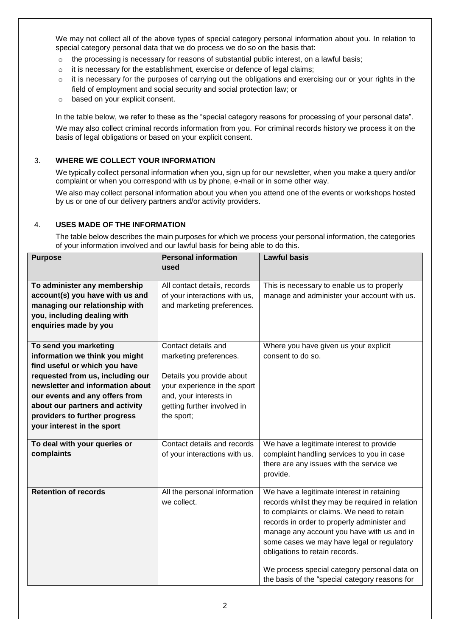We may not collect all of the above types of special category personal information about you. In relation to special category personal data that we do process we do so on the basis that:

- $\circ$  the processing is necessary for reasons of substantial public interest, on a lawful basis;
- o it is necessary for the establishment, exercise or defence of legal claims;
- o it is necessary for the purposes of carrying out the obligations and exercising our or your rights in the field of employment and social security and social protection law; or
- o based on your explicit consent.

In the table below, we refer to these as the "special category reasons for processing of your personal data". We may also collect criminal records information from you. For criminal records history we process it on the basis of legal obligations or based on your explicit consent.

### 3. **WHERE WE COLLECT YOUR INFORMATION**

We typically collect personal information when you, sign up for our newsletter, when you make a query and/or complaint or when you correspond with us by phone, e-mail or in some other way.

We also may collect personal information about you when you attend one of the events or workshops hosted by us or one of our delivery partners and/or activity providers.

### 4. **USES MADE OF THE INFORMATION**

The table below describes the main purposes for which we process your personal information, the categories of your information involved and our lawful basis for being able to do this.

| <b>Purpose</b>                                                                                                                                                                                                                                                                                       | <b>Personal information</b><br>used                                                                                                                                               | <b>Lawful basis</b>                                                                                                                                                                                                                                                                                                                                                                                                        |
|------------------------------------------------------------------------------------------------------------------------------------------------------------------------------------------------------------------------------------------------------------------------------------------------------|-----------------------------------------------------------------------------------------------------------------------------------------------------------------------------------|----------------------------------------------------------------------------------------------------------------------------------------------------------------------------------------------------------------------------------------------------------------------------------------------------------------------------------------------------------------------------------------------------------------------------|
| To administer any membership<br>account(s) you have with us and<br>managing our relationship with<br>you, including dealing with<br>enquiries made by you                                                                                                                                            | All contact details, records<br>of your interactions with us,<br>and marketing preferences.                                                                                       | This is necessary to enable us to properly<br>manage and administer your account with us.                                                                                                                                                                                                                                                                                                                                  |
| To send you marketing<br>information we think you might<br>find useful or which you have<br>requested from us, including our<br>newsletter and information about<br>our events and any offers from<br>about our partners and activity<br>providers to further progress<br>your interest in the sport | Contact details and<br>marketing preferences.<br>Details you provide about<br>your experience in the sport<br>and, your interests in<br>getting further involved in<br>the sport; | Where you have given us your explicit<br>consent to do so.                                                                                                                                                                                                                                                                                                                                                                 |
| To deal with your queries or<br>complaints                                                                                                                                                                                                                                                           | Contact details and records<br>of your interactions with us.                                                                                                                      | We have a legitimate interest to provide<br>complaint handling services to you in case<br>there are any issues with the service we<br>provide.                                                                                                                                                                                                                                                                             |
| <b>Retention of records</b>                                                                                                                                                                                                                                                                          | All the personal information<br>we collect.                                                                                                                                       | We have a legitimate interest in retaining<br>records whilst they may be required in relation<br>to complaints or claims. We need to retain<br>records in order to properly administer and<br>manage any account you have with us and in<br>some cases we may have legal or regulatory<br>obligations to retain records.<br>We process special category personal data on<br>the basis of the "special category reasons for |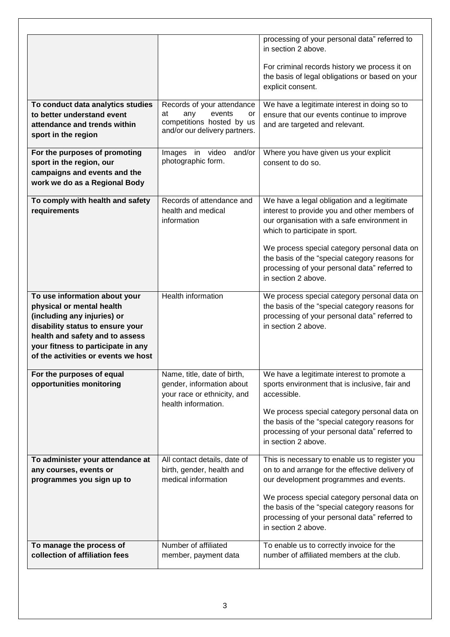|                                                                                                                                                                                                                                               |                                                                                                                       | processing of your personal data" referred to<br>in section 2 above.<br>For criminal records history we process it on<br>the basis of legal obligations or based on your<br>explicit consent.                                                                                                                                                          |
|-----------------------------------------------------------------------------------------------------------------------------------------------------------------------------------------------------------------------------------------------|-----------------------------------------------------------------------------------------------------------------------|--------------------------------------------------------------------------------------------------------------------------------------------------------------------------------------------------------------------------------------------------------------------------------------------------------------------------------------------------------|
| To conduct data analytics studies<br>to better understand event<br>attendance and trends within<br>sport in the region                                                                                                                        | Records of your attendance<br>events<br>at<br>any<br>or<br>competitions hosted by us<br>and/or our delivery partners. | We have a legitimate interest in doing so to<br>ensure that our events continue to improve<br>and are targeted and relevant.                                                                                                                                                                                                                           |
| For the purposes of promoting<br>sport in the region, our<br>campaigns and events and the<br>work we do as a Regional Body                                                                                                                    | Images<br>in video<br>and/or<br>photographic form.                                                                    | Where you have given us your explicit<br>consent to do so.                                                                                                                                                                                                                                                                                             |
| To comply with health and safety<br>requirements                                                                                                                                                                                              | Records of attendance and<br>health and medical<br>information                                                        | We have a legal obligation and a legitimate<br>interest to provide you and other members of<br>our organisation with a safe environment in<br>which to participate in sport.<br>We process special category personal data on<br>the basis of the "special category reasons for<br>processing of your personal data" referred to<br>in section 2 above. |
| To use information about your<br>physical or mental health<br>(including any injuries) or<br>disability status to ensure your<br>health and safety and to assess<br>your fitness to participate in any<br>of the activities or events we host | <b>Health information</b>                                                                                             | We process special category personal data on<br>the basis of the "special category reasons for<br>processing of your personal data" referred to<br>in section 2 above.                                                                                                                                                                                 |
| For the purposes of equal<br>opportunities monitoring                                                                                                                                                                                         | Name, title, date of birth,<br>gender, information about<br>your race or ethnicity, and<br>health information.        | We have a legitimate interest to promote a<br>sports environment that is inclusive, fair and<br>accessible.<br>We process special category personal data on<br>the basis of the "special category reasons for<br>processing of your personal data" referred to<br>in section 2 above.                                                                  |
| To administer your attendance at<br>any courses, events or<br>programmes you sign up to                                                                                                                                                       | All contact details, date of<br>birth, gender, health and<br>medical information                                      | This is necessary to enable us to register you<br>on to and arrange for the effective delivery of<br>our development programmes and events.<br>We process special category personal data on<br>the basis of the "special category reasons for<br>processing of your personal data" referred to<br>in section 2 above.                                  |
| To manage the process of<br>collection of affiliation fees                                                                                                                                                                                    | Number of affiliated<br>member, payment data                                                                          | To enable us to correctly invoice for the<br>number of affiliated members at the club.                                                                                                                                                                                                                                                                 |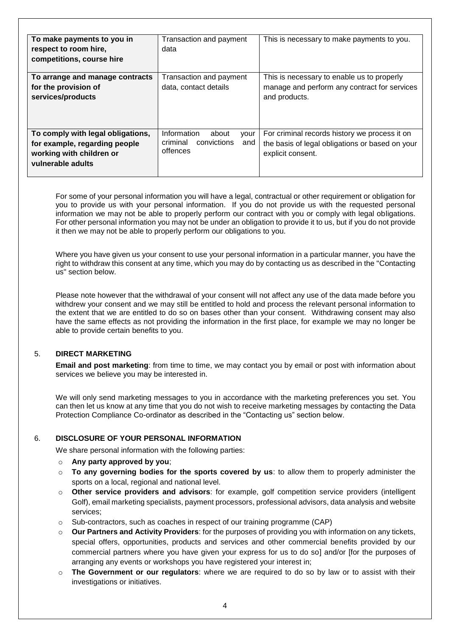| To make payments to you in<br>respect to room hire,<br>competitions, course hire                                    | Transaction and payment<br>data                                            | This is necessary to make payments to you.                                                                            |
|---------------------------------------------------------------------------------------------------------------------|----------------------------------------------------------------------------|-----------------------------------------------------------------------------------------------------------------------|
| To arrange and manage contracts<br>for the provision of<br>services/products                                        | Transaction and payment<br>data, contact details                           | This is necessary to enable us to properly<br>manage and perform any contract for services<br>and products.           |
| To comply with legal obligations,<br>for example, regarding people<br>working with children or<br>vulnerable adults | Information<br>about<br>your<br>convictions<br>criminal<br>and<br>offences | For criminal records history we process it on<br>the basis of legal obligations or based on your<br>explicit consent. |

For some of your personal information you will have a legal, contractual or other requirement or obligation for you to provide us with your personal information. If you do not provide us with the requested personal information we may not be able to properly perform our contract with you or comply with legal obligations. For other personal information you may not be under an obligation to provide it to us, but if you do not provide it then we may not be able to properly perform our obligations to you.

Where you have given us your consent to use your personal information in a particular manner, you have the right to withdraw this consent at any time, which you may do by contacting us as described in the "Contacting us" section below.

Please note however that the withdrawal of your consent will not affect any use of the data made before you withdrew your consent and we may still be entitled to hold and process the relevant personal information to the extent that we are entitled to do so on bases other than your consent. Withdrawing consent may also have the same effects as not providing the information in the first place, for example we may no longer be able to provide certain benefits to you.

### 5. **DIRECT MARKETING**

**Email and post marketing**: from time to time, we may contact you by email or post with information about services we believe you may be interested in.

We will only send marketing messages to you in accordance with the marketing preferences you set. You can then let us know at any time that you do not wish to receive marketing messages by contacting the Data Protection Compliance Co-ordinator as described in the "Contacting us" section below.

# 6. **DISCLOSURE OF YOUR PERSONAL INFORMATION**

We share personal information with the following parties:

- o **Any party approved by you**;
- o **To any governing bodies for the sports covered by us**: to allow them to properly administer the sports on a local, regional and national level.
- o **Other service providers and advisors**: for example, golf competition service providers (intelligent Golf), email marketing specialists, payment processors, professional advisors, data analysis and website services;
- $\circ$  Sub-contractors, such as coaches in respect of our training programme (CAP)
- o **Our Partners and Activity Providers**: for the purposes of providing you with information on any tickets, special offers, opportunities, products and services and other commercial benefits provided by our commercial partners where you have given your express for us to do sol and/or [for the purposes of arranging any events or workshops you have registered your interest in;
- o **The Government or our regulators**: where we are required to do so by law or to assist with their investigations or initiatives.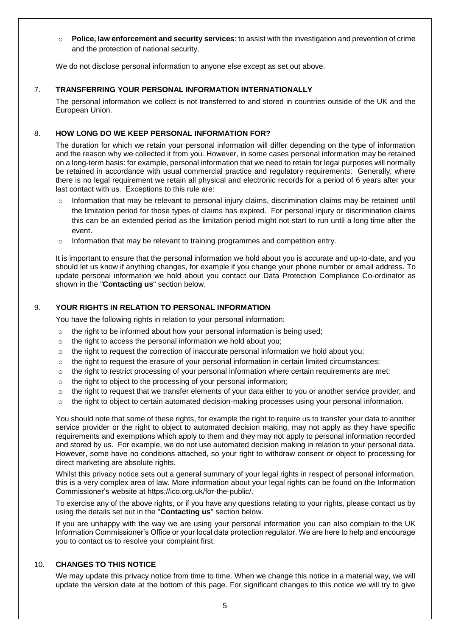o **Police, law enforcement and security services**: to assist with the investigation and prevention of crime and the protection of national security.

We do not disclose personal information to anyone else except as set out above.

# 7. **TRANSFERRING YOUR PERSONAL INFORMATION INTERNATIONALLY**

The personal information we collect is not transferred to and stored in countries outside of the UK and the European Union.

# 8. **HOW LONG DO WE KEEP PERSONAL INFORMATION FOR?**

The duration for which we retain your personal information will differ depending on the type of information and the reason why we collected it from you. However, in some cases personal information may be retained on a long-term basis: for example, personal information that we need to retain for legal purposes will normally be retained in accordance with usual commercial practice and regulatory requirements. Generally, where there is no legal requirement we retain all physical and electronic records for a period of 6 years after your last contact with us. Exceptions to this rule are:

- $\circ$  Information that may be relevant to personal injury claims, discrimination claims may be retained until the limitation period for those types of claims has expired. For personal injury or discrimination claims this can be an extended period as the limitation period might not start to run until a long time after the event.
- $\circ$  Information that may be relevant to training programmes and competition entry.

It is important to ensure that the personal information we hold about you is accurate and up-to-date, and you should let us know if anything changes, for example if you change your phone number or email address. To update personal information we hold about you contact our Data Protection Compliance Co-ordinator as shown in the "**Contacting us**" section below.

# 9. **YOUR RIGHTS IN RELATION TO PERSONAL INFORMATION**

You have the following rights in relation to your personal information:

- $\circ$  the right to be informed about how your personal information is being used;
- o the right to access the personal information we hold about you;
- o the right to request the correction of inaccurate personal information we hold about you;
- $\circ$  the right to request the erasure of your personal information in certain limited circumstances;
- $\circ$  the right to restrict processing of your personal information where certain requirements are met;
- o the right to object to the processing of your personal information;
- $\circ$  the right to request that we transfer elements of your data either to you or another service provider; and
- $\circ$  the right to object to certain automated decision-making processes using your personal information.

You should note that some of these rights, for example the right to require us to transfer your data to another service provider or the right to object to automated decision making, may not apply as they have specific requirements and exemptions which apply to them and they may not apply to personal information recorded and stored by us. For example, we do not use automated decision making in relation to your personal data. However, some have no conditions attached, so your right to withdraw consent or object to processing for direct marketing are absolute rights.

Whilst this privacy notice sets out a general summary of your legal rights in respect of personal information, this is a very complex area of law. More information about your legal rights can be found on the Information Commissioner's website at https://ico.org.uk/for-the-public/.

To exercise any of the above rights, or if you have any questions relating to your rights, please contact us by using the details set out in the "**Contacting us**" section below.

If you are unhappy with the way we are using your personal information you can also complain to the UK Information Commissioner's Office or your local data protection regulator. We are here to help and encourage you to contact us to resolve your complaint first.

### 10. **CHANGES TO THIS NOTICE**

We may update this privacy notice from time to time. When we change this notice in a material way, we will update the version date at the bottom of this page. For significant changes to this notice we will try to give